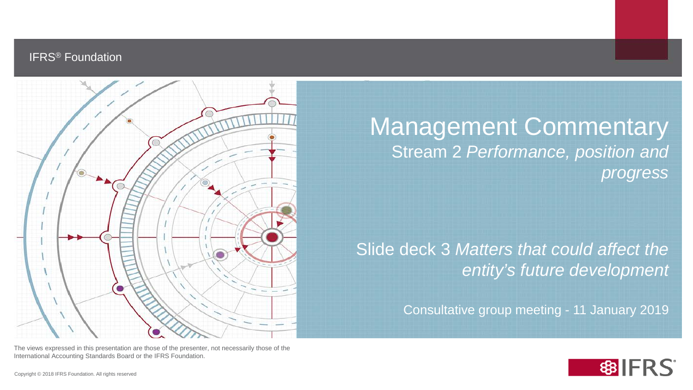### IFRS® Foundation



Management Commentary Stream 2 *Performance, position and progress*

Slide deck 3 *Matters that could affect the entity's future development*

Consultative group meeting - 11 January 2019

The views expressed in this presentation are those of the presenter, not necessarily those of the International Accounting Standards Board or the IFRS Foundation.

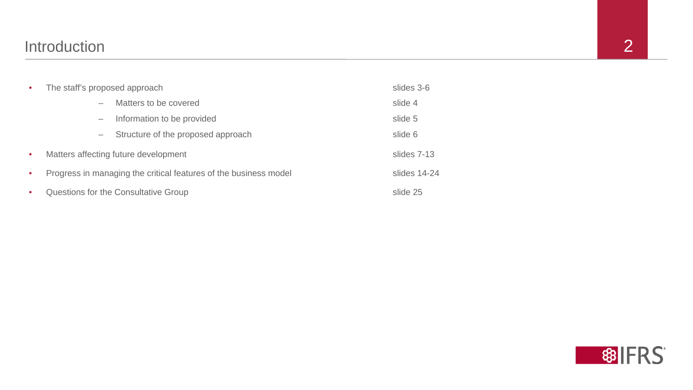| $\bullet$ | The staff's proposed approach                                    |                                    | slides 3-6  |
|-----------|------------------------------------------------------------------|------------------------------------|-------------|
|           |                                                                  | Matters to be covered              | slide 4     |
|           |                                                                  | Information to be provided         | slide 5     |
|           |                                                                  | Structure of the proposed approach | slide 6     |
| $\bullet$ | Matters affecting future development                             |                                    | slides 7-13 |
| $\bullet$ | Progress in managing the critical features of the business model |                                    |             |
| $\bullet$ | Questions for the Consultative Group                             |                                    |             |



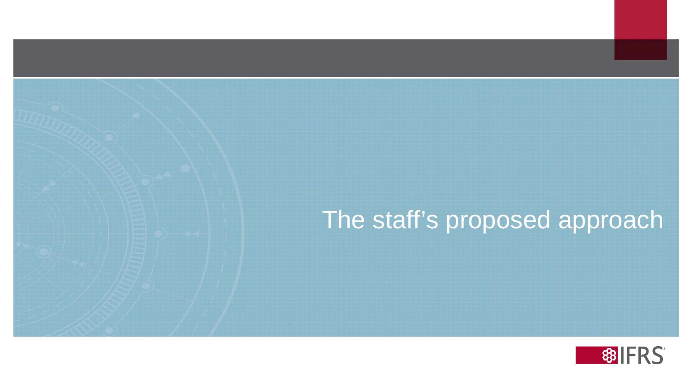# The staff's proposed approach

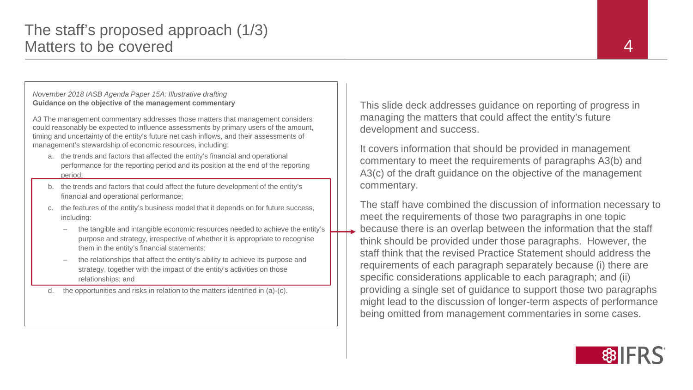#### *November 2018 IASB Agenda Paper 15A: Illustrative drafting* **Guidance on the objective of the management commentary**

A3 The management commentary addresses those matters that management considers could reasonably be expected to influence assessments by primary users of the amount, timing and uncertainty of the entity's future net cash inflows, and their assessments of management's stewardship of economic resources, including:

- a. the trends and factors that affected the entity's financial and operational performance for the reporting period and its position at the end of the reporting period;
- b. the trends and factors that could affect the future development of the entity's financial and operational performance;
- c. the features of the entity's business model that it depends on for future success, including:
	- the tangible and intangible economic resources needed to achieve the entity's purpose and strategy, irrespective of whether it is appropriate to recognise them in the entity's financial statements;
	- the relationships that affect the entity's ability to achieve its purpose and strategy, together with the impact of the entity's activities on those relationships; and
- d. the opportunities and risks in relation to the matters identified in (a)-(c).

This slide deck addresses guidance on reporting of progress in managing the matters that could affect the entity's future development and success.

It covers information that should be provided in management commentary to meet the requirements of paragraphs A3(b) and A3(c) of the draft guidance on the objective of the management commentary.

The staff have combined the discussion of information necessary to meet the requirements of those two paragraphs in one topic because there is an overlap between the information that the staff think should be provided under those paragraphs. However, the staff think that the revised Practice Statement should address the requirements of each paragraph separately because (i) there are specific considerations applicable to each paragraph; and (ii) providing a single set of guidance to support those two paragraphs might lead to the discussion of longer-term aspects of performance being omitted from management commentaries in some cases.

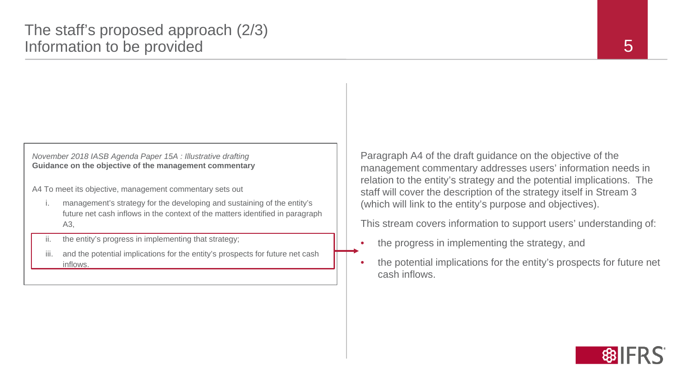#### *November 2018 IASB Agenda Paper 15A : Illustrative drafting* **Guidance on the objective of the management commentary**

A4 To meet its objective, management commentary sets out

- management's strategy for the developing and sustaining of the entity's future net cash inflows in the context of the matters identified in paragraph A3,
- ii. the entity's progress in implementing that strategy;
- iii. and the potential implications for the entity's prospects for future net cash inflows.

Paragraph A4 of the draft guidance on the objective of the management commentary addresses users' information needs in relation to the entity's strategy and the potential implications. The staff will cover the description of the strategy itself in Stream 3 (which will link to the entity's purpose and objectives).

This stream covers information to support users' understanding of:

- the progress in implementing the strategy, and
- the potential implications for the entity's prospects for future net cash inflows.

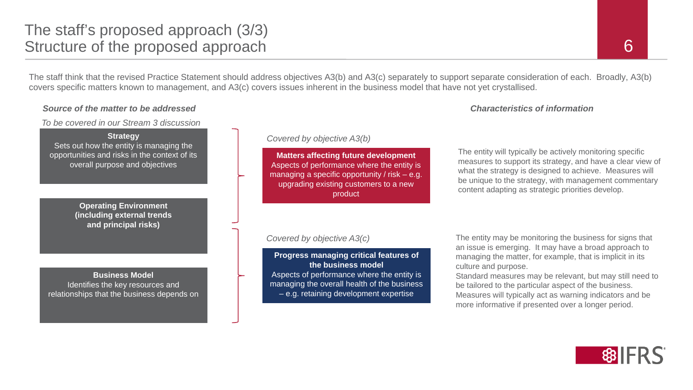### The staff's proposed approach (3/3) Structure of the proposed approach

The staff think that the revised Practice Statement should address objectives A3(b) and A3(c) separately to support separate consideration of each. Broadly, A3(b) covers specific matters known to management, and A3(c) covers issues inherent in the business model that have not yet crystallised.

#### *Source of the matter to be addressed Characteristics of information*

*To be covered in our Stream 3 discussion*

**Strategy** Sets out how the entity is managing the opportunities and risks in the context of its overall purpose and objectives

> **Operating Environment (including external trends and principal risks)**

**Business Model** Identifies the key resources and relationships that the business depends on

#### *Covered by objective A3(b)*

**Matters affecting future development** Aspects of performance where the entity is managing a specific opportunity / risk – e.g. upgrading existing customers to a new product

#### *Covered by objective A3(c)*

**Progress managing critical features of the business model** Aspects of performance where the entity is managing the overall health of the business – e.g. retaining development expertise

The entity will typically be actively monitoring specific measures to support its strategy, and have a clear view of what the strategy is designed to achieve. Measures will be unique to the strategy, with management commentary content adapting as strategic priorities develop.

The entity may be monitoring the business for signs that an issue is emerging. It may have a broad approach to managing the matter, for example, that is implicit in its culture and purpose.

Standard measures may be relevant, but may still need to be tailored to the particular aspect of the business. Measures will typically act as warning indicators and be more informative if presented over a longer period.

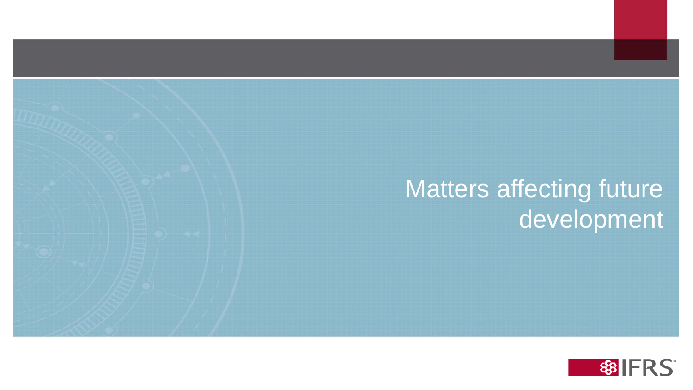# Matters affecting future development

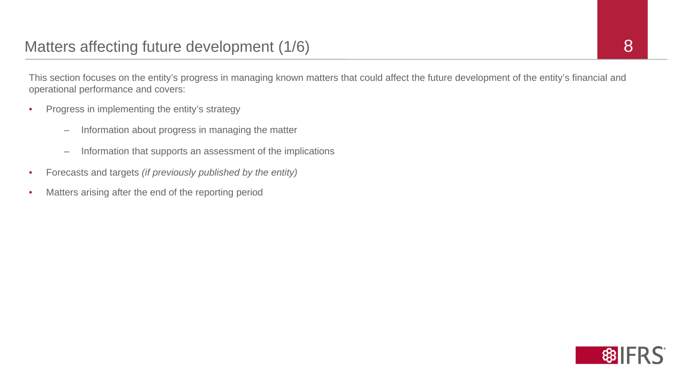This section focuses on the entity's progress in managing known matters that could affect the future development of the entity's financial and operational performance and covers:

- Progress in implementing the entity's strategy
	- Information about progress in managing the matter
	- Information that supports an assessment of the implications
- Forecasts and targets *(if previously published by the entity)*
- Matters arising after the end of the reporting period

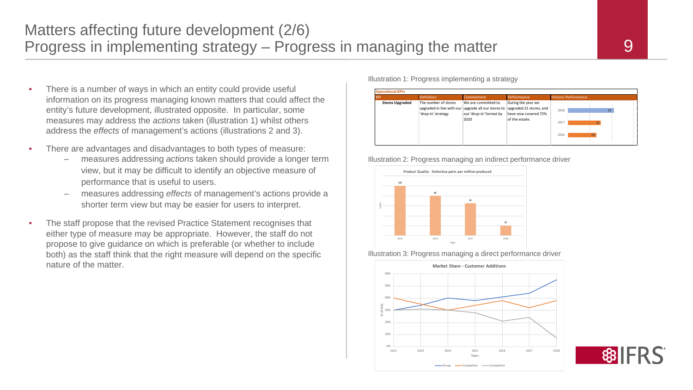- There is a number of ways in which an entity could provide useful information on its progress managing known matters that could affect the entity's future development, illustrated opposite. In particular, some measures may address the *actions* taken (illustration 1) whilst others address the *effects* of management's actions (illustrations 2 and 3).
- There are advantages and disadvantages to both types of measure:
	- measures addressing *actions* taken should provide a longer term view, but it may be difficult to identify an objective measure of performance that is useful to users.
	- measures addressing *effects* of management's actions provide a shorter term view but may be easier for users to interpret.
- The staff propose that the revised Practice Statement recognises that either type of measure may be appropriate. However, the staff do not propose to give guidance on which is preferable (or whether to include both) as the staff think that the right measure will depend on the specific nature of the matter.

Illustration 1: Progress implementing a strategy



Illustration 2: Progress managing an indirect performance driver



Illustration 3: Progress managing a direct performance driver



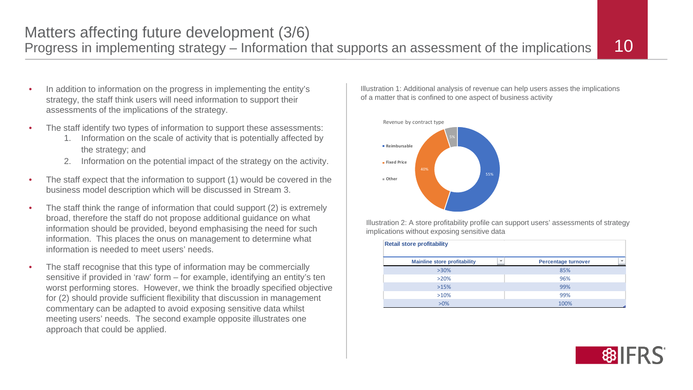Matters affecting future development (3/6)<br>Progress in implementing strategy – Information that supports an assessment of the implications 10

- In addition to information on the progress in implementing the entity's strategy, the staff think users will need information to support their assessments of the implications of the strategy.
- The staff identify two types of information to support these assessments:
	- 1. Information on the scale of activity that is potentially affected by the strategy; and
	- 2. Information on the potential impact of the strategy on the activity.
- The staff expect that the information to support (1) would be covered in the business model description which will be discussed in Stream 3.
- The staff think the range of information that could support (2) is extremely broad, therefore the staff do not propose additional guidance on what information should be provided, beyond emphasising the need for such information. This places the onus on management to determine what information is needed to meet users' needs.
- The staff recognise that this type of information may be commercially sensitive if provided in 'raw' form – for example, identifying an entity's ten worst performing stores. However, we think the broadly specified objective for (2) should provide sufficient flexibility that discussion in management commentary can be adapted to avoid exposing sensitive data whilst meeting users' needs. The second example opposite illustrates one approach that could be applied.

Illustration 1: Additional analysis of revenue can help users asses the implications of a matter that is confined to one aspect of business activity



Illustration 2: A store profitability profile can support users' assessments of strategy implications without exposing sensitive data

| <b>Retail store profitability</b>   |        |                            |                          |  |  |  |
|-------------------------------------|--------|----------------------------|--------------------------|--|--|--|
| <b>Mainline store profitability</b> | $\sim$ | <b>Percentage turnover</b> | $\overline{\phantom{a}}$ |  |  |  |
| $>30\%$                             |        | 85%                        |                          |  |  |  |
| $>20\%$                             |        | 96%                        |                          |  |  |  |
| >15%                                |        | 99%                        |                          |  |  |  |
| >10%                                |        | 99%                        |                          |  |  |  |
| $>0\%$                              |        | 100%                       |                          |  |  |  |

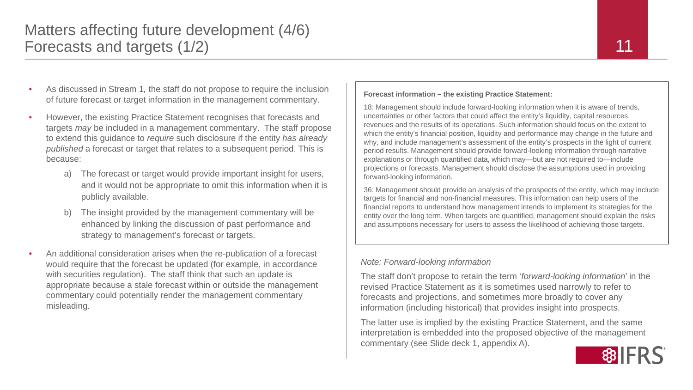### Matters affecting future development (4/6) Forecasts and targets (1/2)

- As discussed in Stream 1*,* the staff do not propose to require the inclusion of future forecast or target information in the management commentary.
- However, the existing Practice Statement recognises that forecasts and targets *may* be included in a management commentary. The staff propose to extend this guidance to *require* such disclosure if the entity *has already published* a forecast or target that relates to a subsequent period. This is because:
	- a) The forecast or target would provide important insight for users, and it would not be appropriate to omit this information when it is publicly available.
	- b) The insight provided by the management commentary will be enhanced by linking the discussion of past performance and strategy to management's forecast or targets.
- An additional consideration arises when the re-publication of a forecast would require that the forecast be updated (for example, in accordance with securities regulation). The staff think that such an update is appropriate because a stale forecast within or outside the management commentary could potentially render the management commentary misleading.

**Forecast information – the existing Practice Statement:**

18: Management should include forward-looking information when it is aware of trends, uncertainties or other factors that could affect the entity's liquidity, capital resources, revenues and the results of its operations. Such information should focus on the extent to which the entity's financial position, liquidity and performance may change in the future and why, and include management's assessment of the entity's prospects in the light of current period results. Management should provide forward-looking information through narrative explanations or through quantified data, which may—but are not required to—include projections or forecasts. Management should disclose the assumptions used in providing forward-looking information.

36: Management should provide an analysis of the prospects of the entity, which may include targets for financial and non-financial measures. This information can help users of the financial reports to understand how management intends to implement its strategies for the entity over the long term. When targets are quantified, management should explain the risks and assumptions necessary for users to assess the likelihood of achieving those targets.

#### *Note: Forward-looking information*

The staff don't propose to retain the term '*forward-looking information*' in the revised Practice Statement as it is sometimes used narrowly to refer to forecasts and projections, and sometimes more broadly to cover any information (including historical) that provides insight into prospects.

The latter use is implied by the existing Practice Statement, and the same interpretation is embedded into the proposed objective of the management commentary (see Slide deck 1, appendix A).

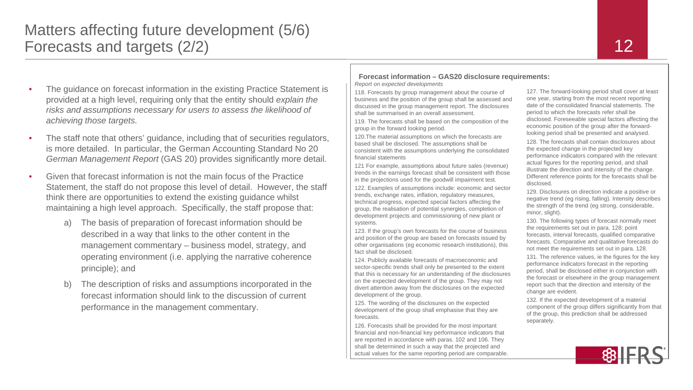### Matters affecting future development (5/6) Forecasts and targets (2/2)

**Forecast information – GAS20 disclosure requirements:** *Report on expected developments*

118. Forecasts by group management about the course of business and the position of the group shall be assessed and discussed in the group management report. The disclosures shall be summarised in an overall assessment.

119. The forecasts shall be based on the composition of the group in the forward looking period.

120.The material assumptions on which the forecasts are based shall be disclosed. The assumptions shall be consistent with the assumptions underlying the consolidated financial statements

121 For example, assumptions about future sales (revenue) trends in the earnings forecast shall be consistent with those in the projections used for the goodwill impairment test.

122. Examples of assumptions include: economic and sector trends, exchange rates, inflation, regulatory measures, technical progress, expected special factors affecting the group, the realisation of potential synergies, completion of development projects and commissioning of new plant or systems.

123. If the group's own forecasts for the course of business and position of the group are based on forecasts issued by other organisations (eg economic research institutions), this fact shall be disclosed.

124. Publicly available forecasts of macroeconomic and sector-specific trends shall only be presented to the extent that this is necessary for an understanding of the disclosures on the expected development of the group. They may not divert attention away from the disclosures on the expected development of the group.

125. The wording of the disclosures on the expected development of the group shall emphasise that they are forecasts.

126. Forecasts shall be provided for the most important financial and non-financial key performance indicators that are reported in accordance with paras. 102 and 106. They shall be determined in such a way that the projected and actual values for the same reporting period are comparable.

127. The forward-looking period shall cover at least one year, starting from the most recent reporting date of the consolidated financial statements. The period to which the forecasts refer shall be disclosed. Foreseeable special factors affecting the economic position of the group after the forwardlooking period shall be presented and analysed.

128. The forecasts shall contain disclosures about the expected change in the projected key performance indicators compared with the relevant actual figures for the reporting period, and shall illustrate the direction and intensity of the change. Different reference points for the forecasts shall be disclosed.

129. Disclosures on direction indicate a positive or negative trend (eg rising, falling). Intensity describes the strength of the trend (eg strong, considerable, minor, slight).

130. The following types of forecast normally meet the requirements set out in para. 128: point forecasts, interval forecasts, qualified comparative forecasts. Comparative and qualitative forecasts do not meet the requirements set out in para. 128.

131. The reference values, ie the figures for the key performance indicators forecast in the reporting period, shall be disclosed either in conjunction with the forecast or elsewhere in the group management report such that the direction and intensity of the change are evident.

132. If the expected development of a material component of the group differs significantly from that of the group, this prediction shall be addressed separately.



12

- The guidance on forecast information in the existing Practice Statement is provided at a high level, requiring only that the entity should *explain the risks and assumptions necessary for users to assess the likelihood of achieving those targets.*
- The staff note that others' guidance, including that of securities regulators, is more detailed. In particular, the German Accounting Standard No 20 *German Management Report* (GAS 20) provides significantly more detail.
- Given that forecast information is not the main focus of the Practice Statement, the staff do not propose this level of detail. However, the staff think there are opportunities to extend the existing guidance whilst maintaining a high level approach. Specifically, the staff propose that:
	- a) The basis of preparation of forecast information should be described in a way that links to the other content in the management commentary – business model, strategy, and operating environment (i.e. applying the narrative coherence principle); and
	- The description of risks and assumptions incorporated in the forecast information should link to the discussion of current performance in the management commentary.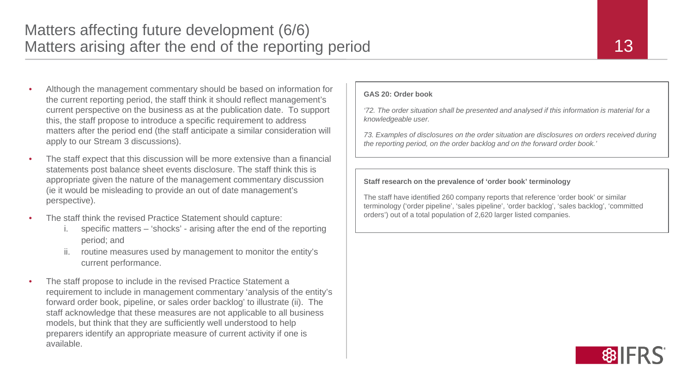- Although the management commentary should be based on information for the current reporting period, the staff think it should reflect management's current perspective on the business as at the publication date. To support this, the staff propose to introduce a specific requirement to address matters after the period end (the staff anticipate a similar consideration will apply to our Stream 3 discussions).
- The staff expect that this discussion will be more extensive than a financial statements post balance sheet events disclosure. The staff think this is appropriate given the nature of the management commentary discussion (ie it would be misleading to provide an out of date management's perspective).
- The staff think the revised Practice Statement should capture:
	- specific matters 'shocks' arising after the end of the reporting period; and
	- routine measures used by management to monitor the entity's current performance.
- The staff propose to include in the revised Practice Statement a requirement to include in management commentary 'analysis of the entity's forward order book, pipeline, or sales order backlog' to illustrate (ii). The staff acknowledge that these measures are not applicable to all business models, but think that they are sufficiently well understood to help preparers identify an appropriate measure of current activity if one is available.

#### **GAS 20: Order book**

*'72. The order situation shall be presented and analysed if this information is material for a knowledgeable user.*

*73. Examples of disclosures on the order situation are disclosures on orders received during the reporting period, on the order backlog and on the forward order book.'*

#### **Staff research on the prevalence of 'order book' terminology**

The staff have identified 260 company reports that reference 'order book' or similar terminology ('order pipeline', 'sales pipeline', 'order backlog', 'sales backlog', 'committed orders') out of a total population of 2,620 larger listed companies.

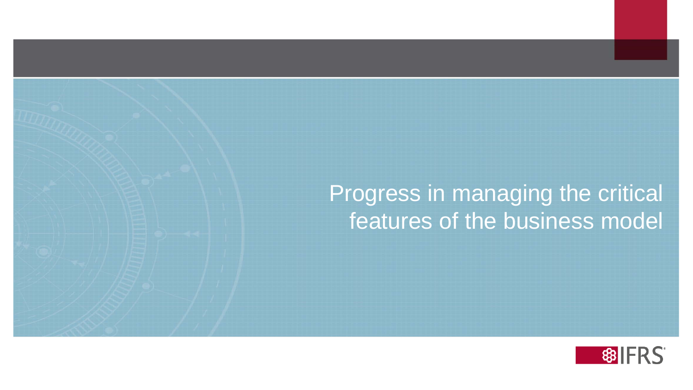## Progress in managing the critical features of the business model



14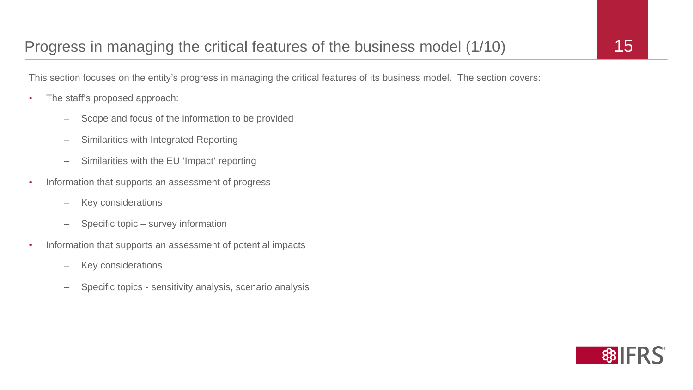This section focuses on the entity's progress in managing the critical features of its business model. The section covers:

- The staff's proposed approach:
	- Scope and focus of the information to be provided
	- Similarities with Integrated Reporting
	- Similarities with the EU 'Impact' reporting
- Information that supports an assessment of progress
	- Key considerations
	- Specific topic survey information
- Information that supports an assessment of potential impacts
	- Key considerations
	- Specific topics sensitivity analysis, scenario analysis



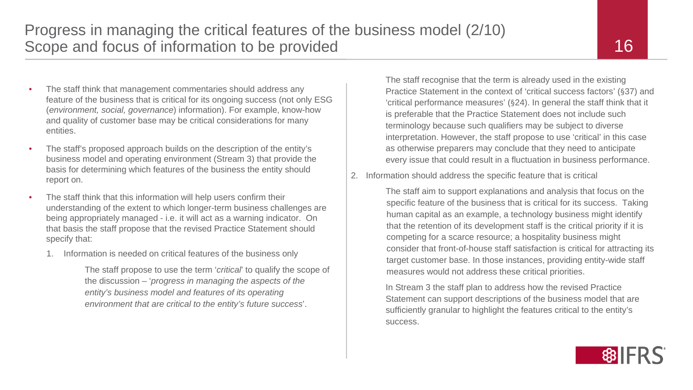- The staff think that management commentaries should address any
- feature of the business that is critical for its ongoing success (not only ESG (*environment, social, governance*) information). For example, know-how and quality of customer base may be critical considerations for many entities.
- The staff's proposed approach builds on the description of the entity's business model and operating environment (Stream 3) that provide the basis for determining which features of the business the entity should report on.
- The staff think that this information will help users confirm their understanding of the extent to which longer-term business challenges are being appropriately managed - i.e. it will act as a warning indicator. On that basis the staff propose that the revised Practice Statement should specify that:
	- 1. Information is needed on critical features of the business only

The staff propose to use the term '*critical*' to qualify the scope of the discussion – '*progress in managing the aspects of the entity's business model and features of its operating environment that are critical to the entity's future success*'.

The staff recognise that the term is already used in the existing Practice Statement in the context of 'critical success factors' (§37) and 'critical performance measures' (§24). In general the staff think that it is preferable that the Practice Statement does not include such terminology because such qualifiers may be subject to diverse interpretation. However, the staff propose to use 'critical' in this case as otherwise preparers may conclude that they need to anticipate every issue that could result in a fluctuation in business performance.

2. Information should address the specific feature that is critical

The staff aim to support explanations and analysis that focus on the specific feature of the business that is critical for its success. Taking human capital as an example, a technology business might identify that the retention of its development staff is the critical priority if it is competing for a scarce resource; a hospitality business might consider that front-of-house staff satisfaction is critical for attracting its target customer base. In those instances, providing entity-wide staff measures would not address these critical priorities.

In Stream 3 the staff plan to address how the revised Practice Statement can support descriptions of the business model that are sufficiently granular to highlight the features critical to the entity's success.

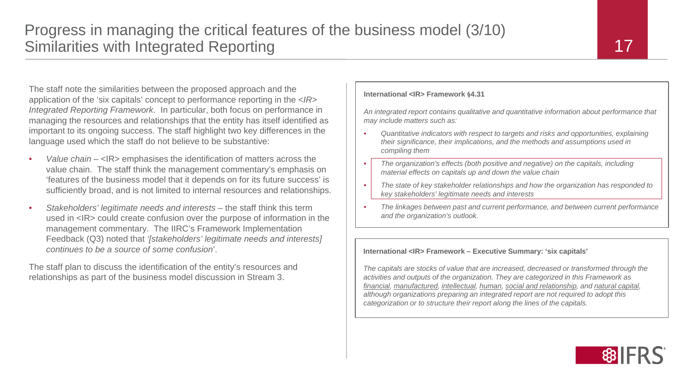The staff note the similarities between the proposed approach and the application of the 'six capitals' concept to performance reporting in the *<IR> Integrated Reporting Framework*. In particular, both focus on performance in managing the resources and relationships that the entity has itself identified as important to its ongoing success. The staff highlight two key differences in the language used which the staff do not believe to be substantive:

- *Value chain*  <IR> emphasises the identification of matters across the value chain. The staff think the management commentary's emphasis on 'features of the business model that it depends on for its future success' is sufficiently broad, and is not limited to internal resources and relationships.
- *Stakeholders' legitimate needs and interests*  the staff think this term used in <IR> could create confusion over the purpose of information in the management commentary. The IIRC's Framework Implementation Feedback (Q3) noted that *'[stakeholders' legitimate needs and interests] continues to be a source of some confusion*'.

The staff plan to discuss the identification of the entity's resources and relationships as part of the business model discussion in Stream 3.

#### **International <IR> Framework §4.31**

*An integrated report contains qualitative and quantitative information about performance that may include matters such as:*

- *Quantitative indicators with respect to targets and risks and opportunities, explaining their significance, their implications, and the methods and assumptions used in compiling them*
- *The organization's effects (both positive and negative) on the capitals, including material effects on capitals up and down the value chain*
- *The state of key stakeholder relationships and how the organization has responded to key stakeholders' legitimate needs and interests*
- *The linkages between past and current performance, and between current performance and the organization's outlook.*

#### **International <IR> Framework – Executive Summary: 'six capitals'**

*The capitals are stocks of value that are increased, decreased or transformed through the activities and outputs of the organization. They are categorized in this Framework as financial, manufactured, intellectual, human, social and relationship, and natural capital, although organizations preparing an integrated report are not required to adopt this categorization or to structure their report along the lines of the capitals.*

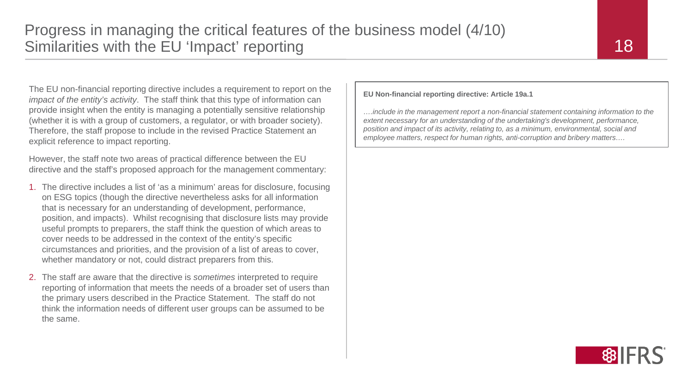The EU non-financial reporting directive includes a requirement to report on the *impact of the entity's activity*. The staff think that this type of information can provide insight when the entity is managing a potentially sensitive relationship (whether it is with a group of customers, a regulator, or with broader society). Therefore, the staff propose to include in the revised Practice Statement an explicit reference to impact reporting.

However, the staff note two areas of practical difference between the EU directive and the staff's proposed approach for the management commentary:

- 1. The directive includes a list of 'as a minimum' areas for disclosure, focusing on ESG topics (though the directive nevertheless asks for all information that is necessary for an understanding of development, performance, position, and impacts). Whilst recognising that disclosure lists may provide useful prompts to preparers, the staff think the question of which areas to cover needs to be addressed in the context of the entity's specific circumstances and priorities, and the provision of a list of areas to cover, whether mandatory or not, could distract preparers from this.
- 2. The staff are aware that the directive is *sometimes* interpreted to require reporting of information that meets the needs of a broader set of users than the primary users described in the Practice Statement. The staff do not think the information needs of different user groups can be assumed to be the same.

**EU Non-financial reporting directive: Article 19a.1**

*….include in the management report a non-financial statement containing information to the extent necessary for an understanding of the undertaking's development, performance, position and impact of its activity, relating to, as a minimum, environmental, social and employee matters, respect for human rights, anti-corruption and bribery matters….* 

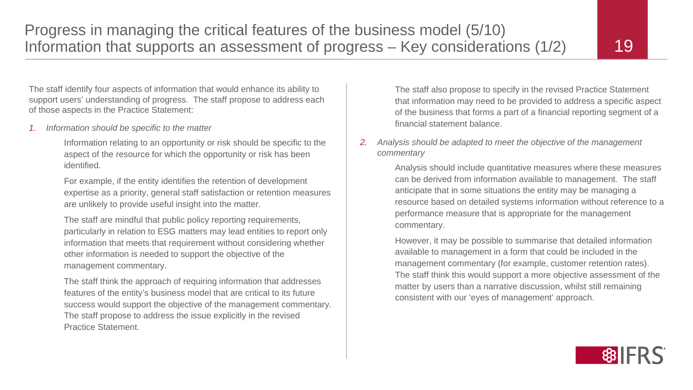The staff identify four aspects of information that would enhance its ability to support users' understanding of progress. The staff propose to address each of those aspects in the Practice Statement:

*1. Information should be specific to the matter*

Information relating to an opportunity or risk should be specific to the aspect of the resource for which the opportunity or risk has been identified.

For example, if the entity identifies the retention of development expertise as a priority, general staff satisfaction or retention measures are unlikely to provide useful insight into the matter.

The staff are mindful that public policy reporting requirements, particularly in relation to ESG matters may lead entities to report only information that meets that requirement without considering whether other information is needed to support the objective of the management commentary.

The staff think the approach of requiring information that addresses features of the entity's business model that are critical to its future success would support the objective of the management commentary. The staff propose to address the issue explicitly in the revised Practice Statement.

The staff also propose to specify in the revised Practice Statement that information may need to be provided to address a specific aspect of the business that forms a part of a financial reporting segment of a financial statement balance.

#### *2. Analysis should be adapted to meet the objective of the management commentary*

Analysis should include quantitative measures where these measures can be derived from information available to management. The staff anticipate that in some situations the entity may be managing a resource based on detailed systems information without reference to a performance measure that is appropriate for the management commentary.

However, it may be possible to summarise that detailed information available to management in a form that could be included in the management commentary (for example, customer retention rates). The staff think this would support a more objective assessment of the matter by users than a narrative discussion, whilst still remaining consistent with our 'eyes of management' approach.

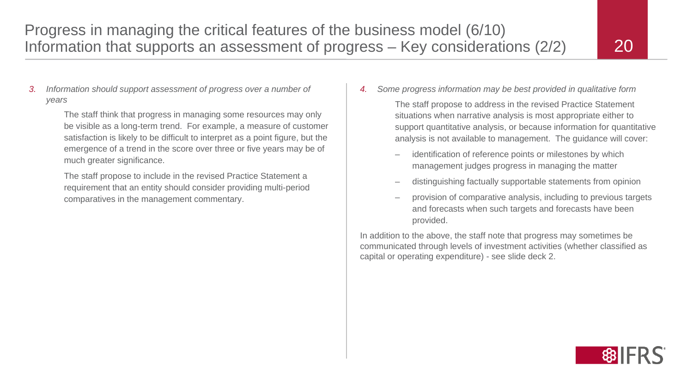*3. Information should support assessment of progress over a number of years*

> The staff think that progress in managing some resources may only be visible as a long-term trend. For example, a measure of customer satisfaction is likely to be difficult to interpret as a point figure, but the emergence of a trend in the score over three or five years may be of much greater significance.

The staff propose to include in the revised Practice Statement a requirement that an entity should consider providing multi-period comparatives in the management commentary.

*4. Some progress information may be best provided in qualitative form*

The staff propose to address in the revised Practice Statement situations when narrative analysis is most appropriate either to support quantitative analysis, or because information for quantitative analysis is not available to management. The guidance will cover:

- identification of reference points or milestones by which management judges progress in managing the matter
- distinguishing factually supportable statements from opinion
- provision of comparative analysis, including to previous targets and forecasts when such targets and forecasts have been provided.

In addition to the above, the staff note that progress may sometimes be communicated through levels of investment activities (whether classified as capital or operating expenditure) - see slide deck 2.

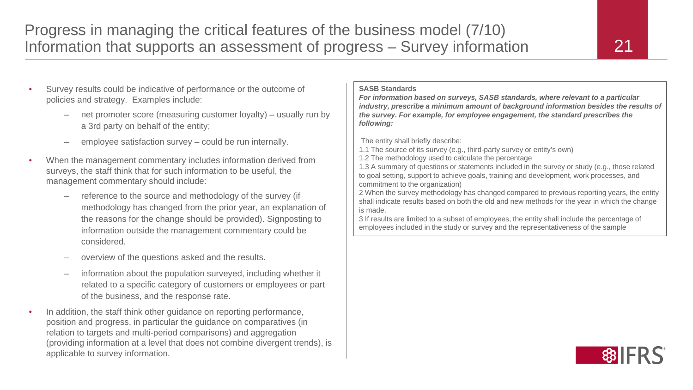- Survey results could be indicative of performance or the outcome of policies and strategy. Examples include:
	- net promoter score (measuring customer loyalty) usually run by a 3rd party on behalf of the entity;
	- employee satisfaction survey could be run internally.
- When the management commentary includes information derived from surveys, the staff think that for such information to be useful, the management commentary should include:
	- reference to the source and methodology of the survey (if methodology has changed from the prior year, an explanation of the reasons for the change should be provided). Signposting to information outside the management commentary could be considered.
	- overview of the questions asked and the results.
	- information about the population surveyed, including whether it related to a specific category of customers or employees or part of the business, and the response rate.
- In addition, the staff think other guidance on reporting performance, position and progress, in particular the guidance on comparatives (in relation to targets and multi-period comparisons) and aggregation (providing information at a level that does not combine divergent trends), is applicable to survey information.

#### **SASB Standards**

*For information based on surveys, SASB standards, where relevant to a particular industry, prescribe a minimum amount of background information besides the results of the survey. For example, for employee engagement, the standard prescribes the following:*

The entity shall briefly describe:

- 1.1 The source of its survey (e.g., third-party survey or entity's own)
- 1.2 The methodology used to calculate the percentage

1.3 A summary of questions or statements included in the survey or study (e.g., those related to goal setting, support to achieve goals, training and development, work processes, and commitment to the organization)

2 When the survey methodology has changed compared to previous reporting years, the entity shall indicate results based on both the old and new methods for the year in which the change is made.

3 If results are limited to a subset of employees, the entity shall include the percentage of employees included in the study or survey and the representativeness of the sample

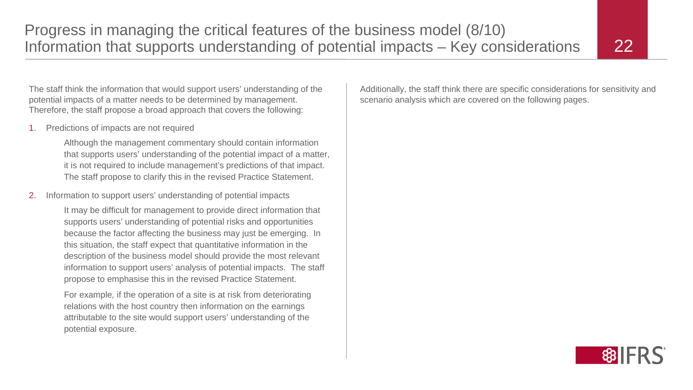The staff think the information that would support users' understanding of the potential impacts of a matter needs to be determined by management. Therefore, the staff propose a broad approach that covers the following:

1. Predictions of impacts are not required

Although the management commentary should contain information that supports users' understanding of the potential impact of a matter, it is not required to include management's predictions of that impact. The staff propose to clarify this in the revised Practice Statement.

2. Information to support users' understanding of potential impacts

It may be difficult for management to provide direct information that supports users' understanding of potential risks and opportunities because the factor affecting the business may just be emerging. In this situation, the staff expect that quantitative information in the description of the business model should provide the most relevant information to support users' analysis of potential impacts. The staff propose to emphasise this in the revised Practice Statement.

For example*,* if the operation of a site is at risk from deteriorating relations with the host country then information on the earnings attributable to the site would support users' understanding of the potential exposure.

Additionally, the staff think there are specific considerations for sensitivity and scenario analysis which are covered on the following pages.

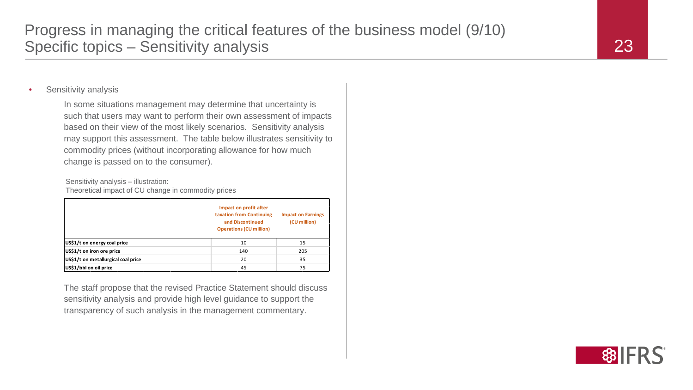### Sensitivity analysis

In some situations management may determine that uncertainty is such that users may want to perform their own assessment of impacts based on their view of the most likely scenarios. Sensitivity analysis may support this assessment. The table below illustrates sensitivity to commodity prices (without incorporating allowance for how much change is passed on to the consumer).

Sensitivity analysis – illustration: Theoretical impact of CU change in commodity prices

|                                     | Impact on profit after<br>taxation from Continuing<br>and Discontinued<br><b>Operations (CU million)</b> | <b>Impact on Earnings</b><br>(CU million) |
|-------------------------------------|----------------------------------------------------------------------------------------------------------|-------------------------------------------|
| US\$1/t on energy coal price        | 10                                                                                                       | 15                                        |
| US\$1/t on iron ore price           | 140                                                                                                      | 205                                       |
| US\$1/t on metallurgical coal price | 20                                                                                                       | 35                                        |
| US\$1/bbl on oil price              | 45                                                                                                       | 75                                        |

The staff propose that the revised Practice Statement should discuss sensitivity analysis and provide high level guidance to support the transparency of such analysis in the management commentary.

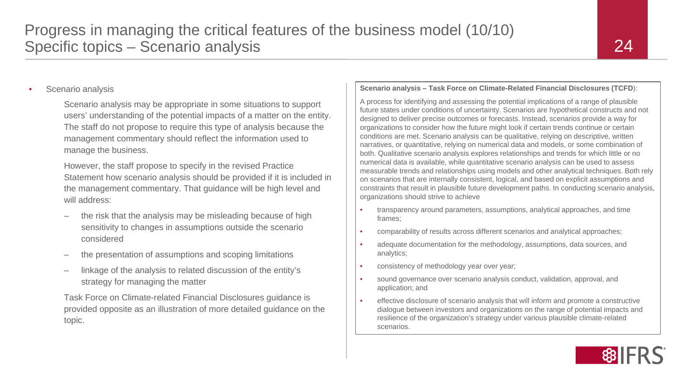## Progress in managing the critical features of the business model (10/10) Specific topics – Scenario analysis

### Scenario analysis

Scenario analysis may be appropriate in some situations to support users' understanding of the potential impacts of a matter on the entity. The staff do not propose to require this type of analysis because the management commentary should reflect the information used to manage the business.

However, the staff propose to specify in the revised Practice Statement how scenario analysis should be provided if it is included in the management commentary. That guidance will be high level and will address:

- the risk that the analysis may be misleading because of high sensitivity to changes in assumptions outside the scenario considered
- the presentation of assumptions and scoping limitations
- linkage of the analysis to related discussion of the entity's strategy for managing the matter

Task Force on Climate-related Financial Disclosures guidance is provided opposite as an illustration of more detailed guidance on the topic.

#### **Scenario analysis – Task Force on Climate-Related Financial Disclosures (TCFD**):

A process for identifying and assessing the potential implications of a range of plausible future states under conditions of uncertainty. Scenarios are hypothetical constructs and not designed to deliver precise outcomes or forecasts. Instead, scenarios provide a way for organizations to consider how the future might look if certain trends continue or certain conditions are met. Scenario analysis can be qualitative, relying on descriptive, written narratives, or quantitative, relying on numerical data and models, or some combination of both. Qualitative scenario analysis explores relationships and trends for which little or no numerical data is available, while quantitative scenario analysis can be used to assess measurable trends and relationships using models and other analytical techniques. Both rely on scenarios that are internally consistent, logical, and based on explicit assumptions and constraints that result in plausible future development paths. In conducting scenario analysis, organizations should strive to achieve

- transparency around parameters, assumptions, analytical approaches, and time frames;
- comparability of results across different scenarios and analytical approaches;
- adequate documentation for the methodology, assumptions, data sources, and analytics;
- consistency of methodology year over year;
- sound governance over scenario analysis conduct, validation, approval, and application; and
- effective disclosure of scenario analysis that will inform and promote a constructive dialogue between investors and organizations on the range of potential impacts and resilience of the organization's strategy under various plausible climate-related scenarios.

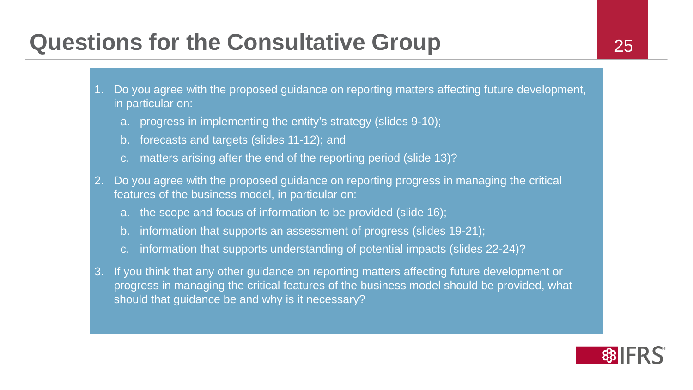## **Questions for the Consultative Group 25**

- 1. Do you agree with the proposed guidance on reporting matters affecting future development, in particular on:
	- a. progress in implementing the entity's strategy (slides 9-10);
	- b. forecasts and targets (slides 11-12); and
	- c. matters arising after the end of the reporting period (slide 13)?
- 2. Do you agree with the proposed guidance on reporting progress in managing the critical features of the business model, in particular on:
	- a. the scope and focus of information to be provided (slide 16);
	- b. information that supports an assessment of progress (slides 19-21);
	- c. information that supports understanding of potential impacts (slides 22-24)?
- 3. If you think that any other guidance on reporting matters affecting future development or progress in managing the critical features of the business model should be provided, what should that guidance be and why is it necessary?